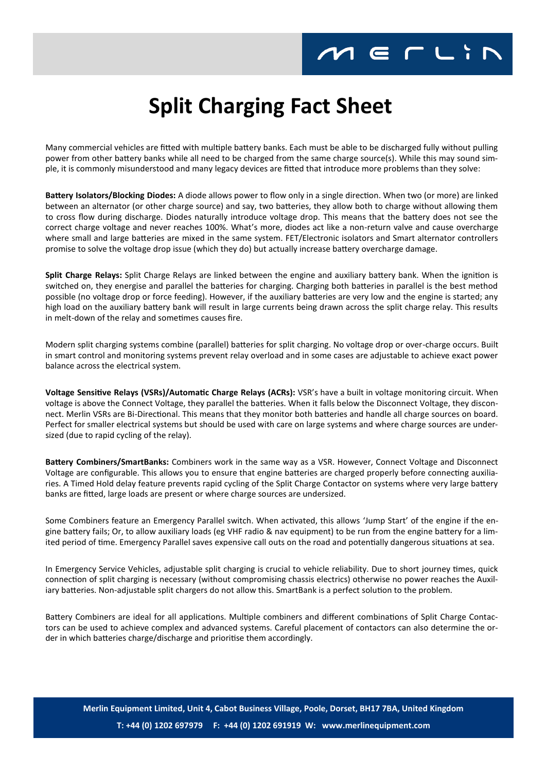## $M \in L$

## **Split Charging Fact Sheet**

Many commercial vehicles are fitted with multiple battery banks. Each must be able to be discharged fully without pulling power from other battery banks while all need to be charged from the same charge source(s). While this may sound simple, it is commonly misunderstood and many legacy devices are fitted that introduce more problems than they solve:

**Battery Isolators/Blocking Diodes:** A diode allows power to flow only in a single direction. When two (or more) are linked between an alternator (or other charge source) and say, two batteries, they allow both to charge without allowing them to cross flow during discharge. Diodes naturally introduce voltage drop. This means that the battery does not see the correct charge voltage and never reaches 100%. What's more, diodes act like a non-return valve and cause overcharge where small and large batteries are mixed in the same system. FET/Electronic isolators and Smart alternator controllers promise to solve the voltage drop issue (which they do) but actually increase battery overcharge damage.

**Split Charge Relays:** Split Charge Relays are linked between the engine and auxiliary battery bank. When the ignition is switched on, they energise and parallel the batteries for charging. Charging both batteries in parallel is the best method possible (no voltage drop or force feeding). However, if the auxiliary batteries are very low and the engine is started; any high load on the auxiliary battery bank will result in large currents being drawn across the split charge relay. This results in melt-down of the relay and sometimes causes fire.

Modern split charging systems combine (parallel) batteries for split charging. No voltage drop or over-charge occurs. Built in smart control and monitoring systems prevent relay overload and in some cases are adjustable to achieve exact power balance across the electrical system.

**Voltage Sensitive Relays (VSRs)/Automatic Charge Relays (ACRs):** VSR's have a built in voltage monitoring circuit. When voltage is above the Connect Voltage, they parallel the batteries. When it falls below the Disconnect Voltage, they disconnect. Merlin VSRs are Bi-Directional. This means that they monitor both batteries and handle all charge sources on board. Perfect for smaller electrical systems but should be used with care on large systems and where charge sources are undersized (due to rapid cycling of the relay).

**Battery Combiners/SmartBanks:** Combiners work in the same way as a VSR. However, Connect Voltage and Disconnect Voltage are configurable. This allows you to ensure that engine batteries are charged properly before connecting auxiliaries. A Timed Hold delay feature prevents rapid cycling of the Split Charge Contactor on systems where very large battery banks are fitted, large loads are present or where charge sources are undersized.

Some Combiners feature an Emergency Parallel switch. When activated, this allows 'Jump Start' of the engine if the engine battery fails; Or, to allow auxiliary loads (eg VHF radio & nav equipment) to be run from the engine battery for a limited period of time. Emergency Parallel saves expensive call outs on the road and potentially dangerous situations at sea.

In Emergency Service Vehicles, adjustable split charging is crucial to vehicle reliability. Due to short journey times, quick connection of split charging is necessary (without compromising chassis electrics) otherwise no power reaches the Auxiliary batteries. Non-adjustable split chargers do not allow this. SmartBank is a perfect solution to the problem.

Battery Combiners are ideal for all applications. Multiple combiners and different combinations of Split Charge Contactors can be used to achieve complex and advanced systems. Careful placement of contactors can also determine the order in which batteries charge/discharge and prioritise them accordingly.

**Merlin Equipment Limited, Unit 4, Cabot Business Village, Poole, Dorset, BH17 7BA, United Kingdom T: +44 (0) 1202 697979 F: +44 (0) 1202 691919 W: www.merlinequipment.com**